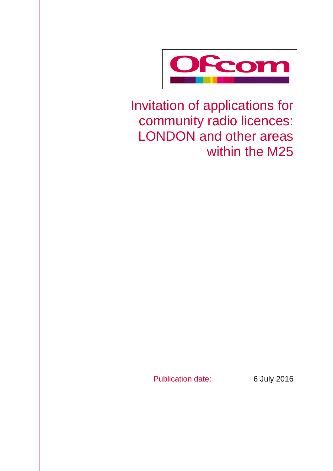

Invitation of applications for community radio licences: LONDON and other areas within the M25

Publication date: 6 July 2016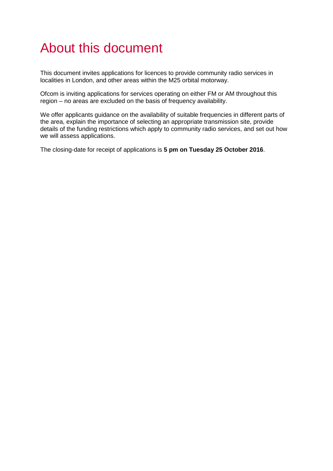# About this document

This document invites applications for licences to provide community radio services in localities in London, and other areas within the M25 orbital motorway.

Ofcom is inviting applications for services operating on either FM or AM throughout this region – no areas are excluded on the basis of frequency availability.

We offer applicants guidance on the availability of suitable frequencies in different parts of the area, explain the importance of selecting an appropriate transmission site, provide details of the funding restrictions which apply to community radio services, and set out how we will assess applications.

The closing-date for receipt of applications is **5 pm on Tuesday 25 October 2016**.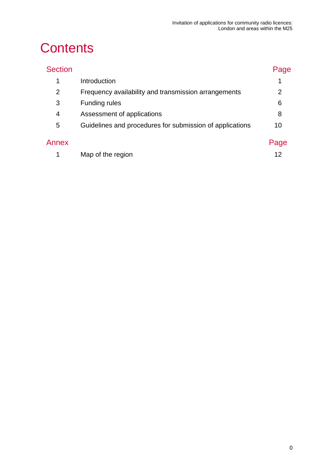# **Contents**

| <b>Section</b> |                                                          | Page |
|----------------|----------------------------------------------------------|------|
| 1              | Introduction                                             | 1    |
| 2              | Frequency availability and transmission arrangements     | 2    |
| 3              | <b>Funding rules</b>                                     | 6    |
| 4              | Assessment of applications                               | 8    |
| 5              | Guidelines and procedures for submission of applications | 10   |
| Annex          |                                                          | Page |
|                | Map of the region                                        | 12   |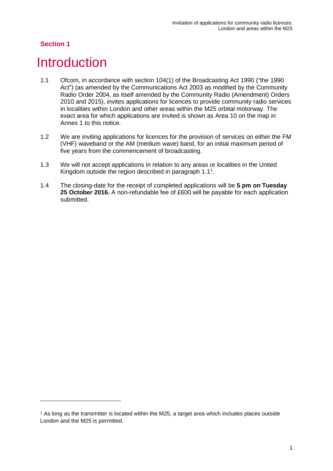-

### <span id="page-3-0"></span>**Introduction**

- 1.1 Ofcom, in accordance with section 104(1) of the Broadcasting Act 1990 ("the 1990 Act") (as amended by the Communications Act 2003 as modified by the Community Radio Order 2004, as itself amended by the Community Radio (Amendment) Orders 2010 and 2015), invites applications for licences to provide community radio services in localities within London and other areas within the M25 orbital motorway. The exact area for which applications are invited is shown as Area 10 on the map in Annex 1 to this notice.
- 1.2 We are inviting applications for licences for the provision of services on either the FM (VHF) waveband or the AM (medium wave) band, for an initial maximum period of five years from the commencement of broadcasting.
- 1.3 We will not accept applications in relation to any areas or localities in the United Kingdom outside the region described in paragraph  $1.1<sup>1</sup>$  $1.1<sup>1</sup>$ .
- 1.4 The closing-date for the receipt of completed applications will be **5 pm on Tuesday 25 October 2016.** A non-refundable fee of £600 will be payable for each application submitted.

<span id="page-3-1"></span><sup>1</sup> As long as the transmitter is located within the M25, a target area which includes places outside London and the M25 is permitted.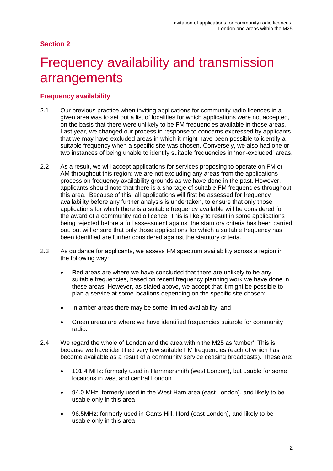# <span id="page-4-0"></span>**Frequency availability and transmission** arrangements

### **Frequency availability**

- 2.1 Our previous practice when inviting applications for community radio licences in a given area was to set out a list of localities for which applications were not accepted, on the basis that there were unlikely to be FM frequencies available in those areas. Last year, we changed our process in response to concerns expressed by applicants that we may have excluded areas in which it might have been possible to identify a suitable frequency when a specific site was chosen. Conversely, we also had one or two instances of being unable to identify suitable frequencies in 'non-excluded' areas.
- 2.2 As a result, we will accept applications for services proposing to operate on FM or AM throughout this region; we are not excluding any areas from the applications process on frequency availability grounds as we have done in the past. However, applicants should note that there is a shortage of suitable FM frequencies throughout this area. Because of this, all applications will first be assessed for frequency availability before any further analysis is undertaken, to ensure that only those applications for which there is a suitable frequency available will be considered for the award of a community radio licence. This is likely to result in some applications being rejected before a full assessment against the statutory criteria has been carried out, but will ensure that only those applications for which a suitable frequency has been identified are further considered against the statutory criteria.
- 2.3 As guidance for applicants, we assess FM spectrum availability across a region in the following way:
	- Red areas are where we have concluded that there are unlikely to be any suitable frequencies, based on recent frequency planning work we have done in these areas. However, as stated above, we accept that it might be possible to plan a service at some locations depending on the specific site chosen;
	- In amber areas there may be some limited availability; and
	- Green areas are where we have identified frequencies suitable for community radio.
- 2.4 We regard the whole of London and the area within the M25 as 'amber'. This is because we have identified very few suitable FM frequencies (each of which has become available as a result of a community service ceasing broadcasts). These are:
	- 101.4 MHz: formerly used in Hammersmith (west London), but usable for some locations in west and central London
	- 94.0 MHz: formerly used in the West Ham area (east London), and likely to be usable only in this area
	- 96.5MHz: formerly used in Gants Hill, Ilford (east London), and likely to be usable only in this area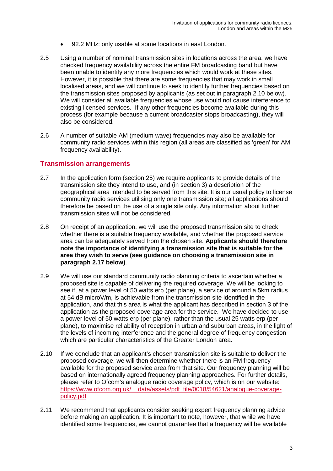- 92.2 MHz: only usable at some locations in east London.
- 2.5 Using a number of nominal transmission sites in locations across the area, we have checked frequency availability across the entire FM broadcasting band but have been unable to identify any more frequencies which would work at these sites. However, it is possible that there are some frequencies that may work in small localised areas, and we will continue to seek to identify further frequencies based on the transmission sites proposed by applicants (as set out in paragraph 2.10 below). We will consider all available frequencies whose use would not cause interference to existing licensed services. If any other frequencies become available during this process (for example because a current broadcaster stops broadcasting), they will also be considered.
- 2.6 A number of suitable AM (medium wave) frequencies may also be available for community radio services within this region (all areas are classified as 'green' for AM frequency availability).

#### **Transmission arrangements**

- 2.7 In the application form (section 25) we require applicants to provide details of the transmission site they intend to use, and (in section 3) a description of the geographical area intended to be served from this site. It is our usual policy to license community radio services utilising only one transmission site; all applications should therefore be based on the use of a single site only. Any information about further transmission sites will not be considered.
- 2.8 On receipt of an application, we will use the proposed transmission site to check whether there is a suitable frequency available, and whether the proposed service area can be adequately served from the chosen site. **Applicants should therefore note the importance of identifying a transmission site that is suitable for the area they wish to serve (see guidance on choosing a transmission site in paragraph 2.17 below)**.
- 2.9 We will use our standard community radio planning criteria to ascertain whether a proposed site is capable of delivering the required coverage. We will be looking to see if, at a power level of 50 watts erp (per plane), a service of around a 5km radius at 54 dB microV/m, is achievable from the transmission site identified in the application, and that this area is what the applicant has described in section 3 of the application as the proposed coverage area for the service. We have decided to use a power level of 50 watts erp (per plane), rather than the usual 25 watts erp (per plane), to maximise reliability of reception in urban and suburban areas, in the light of the levels of incoming interference and the general degree of frequency congestion which are particular characteristics of the Greater London area.
- 2.10 If we conclude that an applicant's chosen transmission site is suitable to deliver the proposed coverage, we will then determine whether there is an FM frequency available for the proposed service area from that site. Our frequency planning will be based on internationally agreed frequency planning approaches. For further details, please refer to Ofcom's analogue radio coverage policy, which is on our website: https://www.ofcom.org.uk/ data/assets/pdf\_file/0018/54621/analogue-coverage[policy.pdf](https://www.ofcom.org.uk/__data/assets/pdf_file/0018/54621/analogue-coverage-policy.pdf)
- 2.11 We recommend that applicants consider seeking expert frequency planning advice before making an application. It is important to note, however, that while we have identified some frequencies, we cannot guarantee that a frequency will be available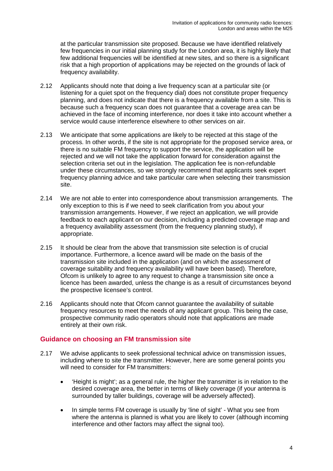at the particular transmission site proposed. Because we have identified relatively few frequencies in our initial planning study for the London area, it is highly likely that few additional frequencies will be identified at new sites, and so there is a significant risk that a high proportion of applications may be rejected on the grounds of lack of frequency availability.

- 2.12 Applicants should note that doing a live frequency scan at a particular site (or listening for a quiet spot on the frequency dial) does not constitute proper frequency planning, and does not indicate that there is a frequency available from a site. This is because such a frequency scan does not guarantee that a coverage area can be achieved in the face of incoming interference, nor does it take into account whether a service would cause interference elsewhere to other services on air.
- 2.13 We anticipate that some applications are likely to be rejected at this stage of the process. In other words, if the site is not appropriate for the proposed service area, or there is no suitable FM frequency to support the service, the application will be rejected and we will not take the application forward for consideration against the selection criteria set out in the legislation. The application fee is non-refundable under these circumstances, so we strongly recommend that applicants seek expert frequency planning advice and take particular care when selecting their transmission site.
- 2.14 We are not able to enter into correspondence about transmission arrangements. The only exception to this is if we need to seek clarification from you about your transmission arrangements. However, if we reject an application, we will provide feedback to each applicant on our decision, including a predicted coverage map and a frequency availability assessment (from the frequency planning study), if appropriate.
- 2.15 It should be clear from the above that transmission site selection is of crucial importance. Furthermore, a licence award will be made on the basis of the transmission site included in the application (and on which the assessment of coverage suitability and frequency availability will have been based). Therefore, Ofcom is unlikely to agree to any request to change a transmission site once a licence has been awarded, unless the change is as a result of circumstances beyond the prospective licensee's control.
- 2.16 Applicants should note that Ofcom cannot guarantee the availability of suitable frequency resources to meet the needs of any applicant group. This being the case, prospective community radio operators should note that applications are made entirely at their own risk.

#### **Guidance on choosing an FM transmission site**

- 2.17 We advise applicants to seek professional technical advice on transmission issues, including where to site the transmitter. However, here are some general points you will need to consider for FM transmitters:
	- 'Height is might'; as a general rule, the higher the transmitter is in relation to the desired coverage area, the better in terms of likely coverage (if your antenna is surrounded by taller buildings, coverage will be adversely affected).
	- In simple terms FM coverage is usually by 'line of sight' What you see from where the antenna is planned is what you are likely to cover (although incoming interference and other factors may affect the signal too).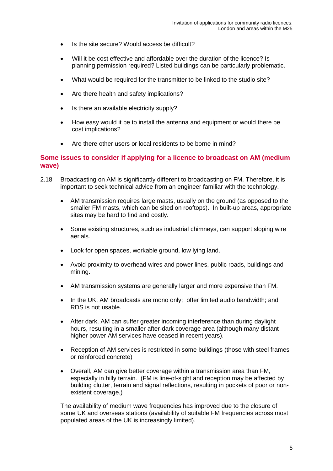- Is the site secure? Would access be difficult?
- Will it be cost effective and affordable over the duration of the licence? Is planning permission required? Listed buildings can be particularly problematic.
- What would be required for the transmitter to be linked to the studio site?
- Are there health and safety implications?
- Is there an available electricity supply?
- How easy would it be to install the antenna and equipment or would there be cost implications?
- Are there other users or local residents to be borne in mind?

#### **Some issues to consider if applying for a licence to broadcast on AM (medium wave)**

- 2.18 Broadcasting on AM is significantly different to broadcasting on FM. Therefore, it is important to seek technical advice from an engineer familiar with the technology.
	- AM transmission requires large masts, usually on the ground (as opposed to the smaller FM masts, which can be sited on rooftops). In built-up areas, appropriate sites may be hard to find and costly.
	- Some existing structures, such as industrial chimneys, can support sloping wire aerials.
	- Look for open spaces, workable ground, low lying land.
	- Avoid proximity to overhead wires and power lines, public roads, buildings and mining.
	- AM transmission systems are generally larger and more expensive than FM.
	- In the UK, AM broadcasts are mono only; offer limited audio bandwidth; and RDS is not usable.
	- After dark, AM can suffer greater incoming interference than during daylight hours, resulting in a smaller after-dark coverage area (although many distant higher power AM services have ceased in recent years).
	- Reception of AM services is restricted in some buildings (those with steel frames or reinforced concrete)
	- Overall, AM can give better coverage within a transmission area than FM, especially in hilly terrain. (FM is line-of-sight and reception may be affected by building clutter, terrain and signal reflections, resulting in pockets of poor or nonexistent coverage.)

The availability of medium wave frequencies has improved due to the closure of some UK and overseas stations (availability of suitable FM frequencies across most populated areas of the UK is increasingly limited).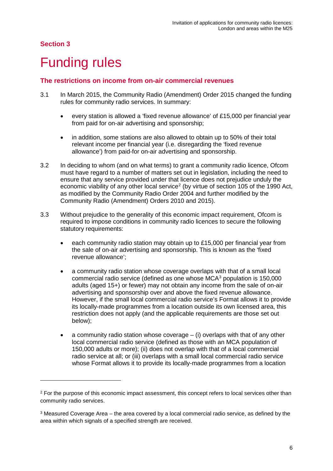-

# <span id="page-8-0"></span>**Funding rules**

#### **The restrictions on income from on-air commercial revenues**

- 3.1 In March 2015, the Community Radio (Amendment) Order 2015 changed the funding rules for community radio services. In summary:
	- every station is allowed a 'fixed revenue allowance' of £15,000 per financial year from paid for on-air advertising and sponsorship;
	- in addition, some stations are also allowed to obtain up to 50% of their total relevant income per financial year (i.e. disregarding the 'fixed revenue allowance') from paid-for on-air advertising and sponsorship.
- 3.2 In deciding to whom (and on what terms) to grant a community radio licence, Ofcom must have regard to a number of matters set out in legislation, including the need to ensure that any service provided under that licence does not prejudice unduly the economic viability of any other local service<sup>[2](#page-8-1)</sup> (by virtue of section 105 of the 1990 Act, as modified by the Community Radio Order 2004 and further modified by the Community Radio (Amendment) Orders 2010 and 2015).
- 3.3 Without prejudice to the generality of this economic impact requirement, Ofcom is required to impose conditions in community radio licences to secure the following statutory requirements:
	- each community radio station may obtain up to  $£15,000$  per financial year from the sale of on-air advertising and sponsorship. This is known as the 'fixed revenue allowance';
	- a community radio station whose coverage overlaps with that of a small local commercial radio service (defined as one whose MCA[3](#page-8-2) population is 150,000 adults (aged 15+) or fewer) may not obtain any income from the sale of on-air advertising and sponsorship over and above the fixed revenue allowance. However, if the small local commercial radio service's Format allows it to provide its locally-made programmes from a location outside its own licensed area, this restriction does not apply (and the applicable requirements are those set out below);
	- a community radio station whose coverage  $-$  (i) overlaps with that of any other local commercial radio service (defined as those with an MCA population of 150,000 adults or more); (ii) does not overlap with that of a local commercial radio service at all; or (iii) overlaps with a small local commercial radio service whose Format allows it to provide its locally-made programmes from a location

<span id="page-8-1"></span><sup>&</sup>lt;sup>2</sup> For the purpose of this economic impact assessment, this concept refers to local services other than community radio services.

<span id="page-8-2"></span><sup>3</sup> Measured Coverage Area – the area covered by a local commercial radio service, as defined by the area within which signals of a specified strength are received.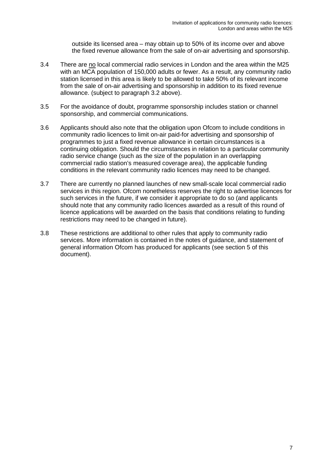outside its licensed area – may obtain up to 50% of its income over and above the fixed revenue allowance from the sale of on-air advertising and sponsorship.

- 3.4 There are no local commercial radio services in London and the area within the M25 with an MCA population of 150,000 adults or fewer. As a result, any community radio station licensed in this area is likely to be allowed to take 50% of its relevant income from the sale of on-air advertising and sponsorship in addition to its fixed revenue allowance. (subject to paragraph 3.2 above).
- 3.5 For the avoidance of doubt, programme sponsorship includes station or channel sponsorship, and commercial communications.
- 3.6 Applicants should also note that the obligation upon Ofcom to include conditions in community radio licences to limit on-air paid-for advertising and sponsorship of programmes to just a fixed revenue allowance in certain circumstances is a continuing obligation. Should the circumstances in relation to a particular community radio service change (such as the size of the population in an overlapping commercial radio station's measured coverage area), the applicable funding conditions in the relevant community radio licences may need to be changed.
- 3.7 There are currently no planned launches of new small-scale local commercial radio services in this region. Ofcom nonetheless reserves the right to advertise licences for such services in the future, if we consider it appropriate to do so (and applicants should note that any community radio licences awarded as a result of this round of licence applications will be awarded on the basis that conditions relating to funding restrictions may need to be changed in future).
- 3.8 These restrictions are additional to other rules that apply to community radio services. More information is contained in the notes of guidance, and statement of general information Ofcom has produced for applicants (see section 5 of this document).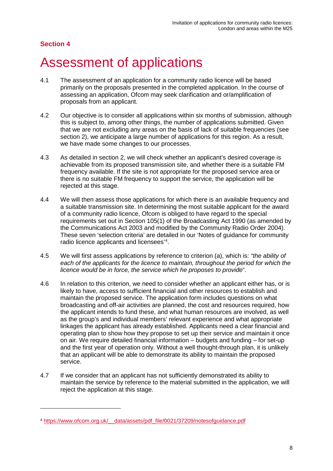-

### <span id="page-10-0"></span>4 Assessment of applications

- 4.1 The assessment of an application for a community radio licence will be based primarily on the proposals presented in the completed application. In the course of assessing an application, Ofcom may seek clarification and or/amplification of proposals from an applicant.
- 4.2 Our objective is to consider all applications within six months of submission, although this is subject to, among other things, the number of applications submitted. Given that we are not excluding any areas on the basis of lack of suitable frequencies (see section 2), we anticipate a large number of applications for this region. As a result, we have made some changes to our processes.
- 4.3 As detailed in section 2, we will check whether an applicant's desired coverage is achievable from its proposed transmission site, and whether there is a suitable FM frequency available. If the site is not appropriate for the proposed service area or there is no suitable FM frequency to support the service, the application will be rejected at this stage.
- 4.4 We will then assess those applications for which there is an available frequency and a suitable transmission site. In determining the most suitable applicant for the award of a community radio licence, Ofcom is obliged to have regard to the special requirements set out in Section 105(1) of the Broadcasting Act 1990 (as amended by the Communications Act 2003 and modified by the Community Radio Order 2004). These seven 'selection criteria' are detailed in our 'Notes of guidance for community radio licence applicants and licensees'[4](#page-10-1) .
- 4.5 We will first assess applications by reference to criterion (a), which is: *"the ability of each of the applicants for the licence to maintain, throughout the period for which the licence would be in force, the service which he proposes to provide*".
- 4.6 In relation to this criterion, we need to consider whether an applicant either has, or is likely to have, access to sufficient financial and other resources to establish and maintain the proposed service. The application form includes questions on what broadcasting and off-air activities are planned, the cost and resources required, how the applicant intends to fund these, and what human resources are involved, as well as the group's and individual members' relevant experience and what appropriate linkages the applicant has already established. Applicants need a clear financial and operating plan to show how they propose to set up their service and maintain it once on air. We require detailed financial information – budgets and funding – for set-up and the first year of operation only. Without a well thought-through plan, it is unlikely that an applicant will be able to demonstrate its ability to maintain the proposed service.
- 4.7 If we consider that an applicant has not sufficiently demonstrated its ability to maintain the service by reference to the material submitted in the application, we will reject the application at this stage.

<span id="page-10-1"></span><sup>4</sup> [https://www.ofcom.org.uk/\\_\\_data/assets/pdf\\_file/0021/37209/notesofguidance.pdf](https://www.ofcom.org.uk/__data/assets/pdf_file/0021/37209/notesofguidance.pdf)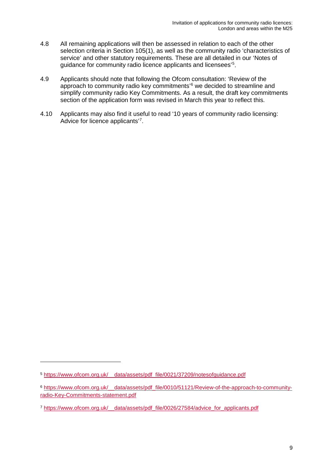- 4.8 All remaining applications will then be assessed in relation to each of the other selection criteria in Section 105(1), as well as the community radio 'characteristics of service' and other statutory requirements. These are all detailed in our 'Notes of guidance for community radio licence applicants and licensees'[5](#page-11-0) .
- 4.9 Applicants should note that following the Ofcom consultation: 'Review of the approach to community radio key commitments'[6](#page-11-1) we decided to streamline and simplify community radio Key Commitments. As a result, the draft key commitments section of the application form was revised in March this year to reflect this.
- 4.10 Applicants may also find it useful to read '10 years of community radio licensing: Advice for licence applicants'[7](#page-11-2) .

-

<span id="page-11-0"></span><sup>5</sup> [https://www.ofcom.org.uk/\\_\\_data/assets/pdf\\_file/0021/37209/notesofguidance.pdf](https://www.ofcom.org.uk/__data/assets/pdf_file/0021/37209/notesofguidance.pdf)

<span id="page-11-1"></span><sup>6</sup> [https://www.ofcom.org.uk/\\_\\_data/assets/pdf\\_file/0010/51121/Review-of-the-approach-to-community](https://www.ofcom.org.uk/__data/assets/pdf_file/0010/51121/Review-of-the-approach-to-community-radio-Key-Commitments-statement.pdf)[radio-Key-Commitments-statement.pdf](https://www.ofcom.org.uk/__data/assets/pdf_file/0010/51121/Review-of-the-approach-to-community-radio-Key-Commitments-statement.pdf)

<span id="page-11-2"></span><sup>7</sup> [https://www.ofcom.org.uk/\\_\\_data/assets/pdf\\_file/0026/27584/advice\\_for\\_applicants.pdf](https://www.ofcom.org.uk/__data/assets/pdf_file/0026/27584/advice_for_applicants.pdf)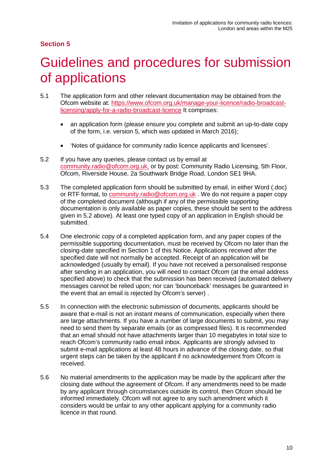## <span id="page-12-0"></span>5 Guidelines and procedures for submission of applications

- 5.1 The application form and other relevant documentation may be obtained from the Ofcom website at: [https://www.ofcom.org.uk/manage-your-licence/radio-broadcast](https://www.ofcom.org.uk/manage-your-licence/radio-broadcast-licensing/apply-for-a-radio-broadcast-licence)[licensing/apply-for-a-radio-broadcast-licence](https://www.ofcom.org.uk/manage-your-licence/radio-broadcast-licensing/apply-for-a-radio-broadcast-licence) It comprises:
	- an application form (please ensure you complete and submit an up-to-date copy of the form, i.e. version 5, which was updated in March 2016);
	- 'Notes of guidance for community radio licence applicants and licensees'.
- 5.2 If you have any queries, please contact us by email at [community.radio@ofcom.org.uk,](mailto:community.radio@ofcom.org.uk) or by post: Community Radio Licensing, 5th Floor, Ofcom, Riverside House, 2a Southwark Bridge Road, London SE1 9HA.
- 5.3 The completed application form should be submitted by email, in either Word (.doc) or RTF format, to [community.radio@ofcom.org.uk](mailto:community.radio@ofcom.org.uk) . We do not require a paper copy of the completed document (although if any of the permissible supporting documentation is only available as paper copies, these should be sent to the address given in 5.2 above). At least one typed copy of an application in English should be submitted.
- 5.4 One electronic copy of a completed application form, and any paper copies of the permissible supporting documentation, must be received by Ofcom no later than the closing-date specified in Section 1 of this Notice. Applications received after the specified date will not normally be accepted. Receipt of an application will be acknowledged (usually by email). If you have not received a personalised response after sending in an application, you will need to contact Ofcom (at the email address specified above) to check that the submission has been received (automated delivery messages cannot be relied upon; nor can 'bounceback' messages be guaranteed in the event that an email is rejected by Ofcom's server) .
- 5.5 In connection with the electronic submission of documents, applicants should be aware that e-mail is not an instant means of communication, especially when there are large attachments. If you have a number of large documents to submit, you may need to send them by separate emails (or as compressed files). It is recommended that an email should not have attachments larger than 10 megabytes in total size to reach Ofcom's community radio email inbox. Applicants are strongly advised to submit e-mail applications at least 48 hours in advance of the closing date, so that urgent steps can be taken by the applicant if no acknowledgement from Ofcom is received.
- 5.6 No material amendments to the application may be made by the applicant after the closing date without the agreement of Ofcom. If any amendments need to be made by any applicant through circumstances outside its control, then Ofcom should be informed immediately. Ofcom will not agree to any such amendment which it considers would be unfair to any other applicant applying for a community radio licence in that round.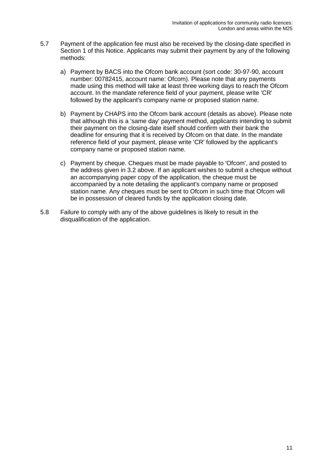- 5.7 Payment of the application fee must also be received by the closing-date specified in Section 1 of this Notice. Applicants may submit their payment by any of the following methods:
	- a) Payment by BACS into the Ofcom bank account (sort code: 30-97-90, account number: 00782415, account name: Ofcom). Please note that any payments made using this method will take at least three working days to reach the Ofcom account. In the mandate reference field of your payment, please write 'CR' followed by the applicant's company name or proposed station name.
	- b) Payment by CHAPS into the Ofcom bank account (details as above). Please note that although this is a 'same day' payment method, applicants intending to submit their payment on the closing-date itself should confirm with their bank the deadline for ensuring that it is received by Ofcom on that date. In the mandate reference field of your payment, please write 'CR' followed by the applicant's company name or proposed station name.
	- c) Payment by cheque. Cheques must be made payable to 'Ofcom', and posted to the address given in 3.2 above. If an applicant wishes to submit a cheque without an accompanying paper copy of the application, the cheque must be accompanied by a note detailing the applicant's company name or proposed station name. Any cheques must be sent to Ofcom in such time that Ofcom will be in possession of cleared funds by the application closing date.
- 5.8 Failure to comply with any of the above guidelines is likely to result in the disqualification of the application.